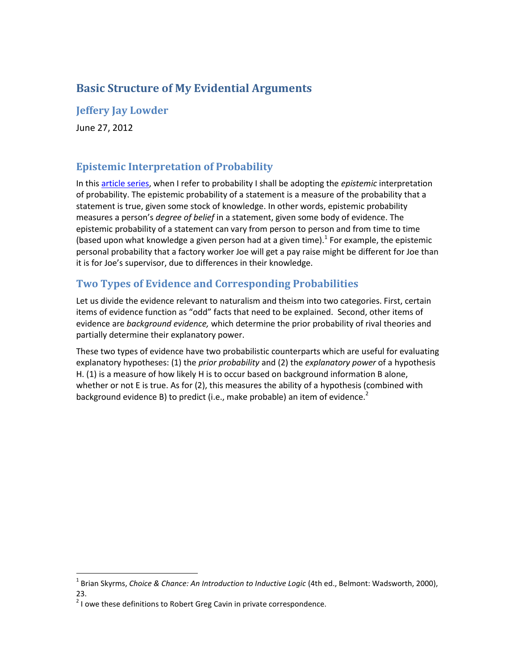# **Basic Structure of My Evidential Arguments**

### **Jeffery Jay Lowder**

June 27, 2012

## **Epistemic Interpretation of Probability**

In this [article series,](http://www.patheos.com/blogs/secularoutpost/arguments-for-naturalism/) when I refer to probability I shall be adopting the *epistemic* interpretation of probability. The epistemic probability of a statement is a measure of the probability that a statement is true, given some stock of knowledge. In other words, epistemic probability measures a person's *degree of belief* in a statement, given some body of evidence. The epistemic probability of a statement can vary from person to person and from time to time (based upon what knowledge a given person had at a given time). $^1$  For example, the epistemic personal probability that a factory worker Joe will get a pay raise might be different for Joe than it is for Joe's supervisor, due to differences in their knowledge.

## **Two Types of Evidence and Corresponding Probabilities**

Let us divide the evidence relevant to naturalism and theism into two categories. First, certain items of evidence function as "odd" facts that need to be explained. Second, other items of evidence are *background evidence,* which determine the prior probability of rival theories and partially determine their explanatory power.

These two types of evidence have two probabilistic counterparts which are useful for evaluating explanatory hypotheses: (1) the *prior probability* and (2) the *explanatory power* of a hypothesis H. (1) is a measure of how likely H is to occur based on background information B alone, whether or not E is true. As for (2), this measures the ability of a hypothesis (combined with background evidence B) to predict (i.e., make probable) an item of evidence.<sup>2</sup>

 1 Brian Skyrms, *Choice & Chance: An Introduction to Inductive Logic* (4th ed., Belmont: Wadsworth, 2000), 23.

 $2$  I owe these definitions to Robert Greg Cavin in private correspondence.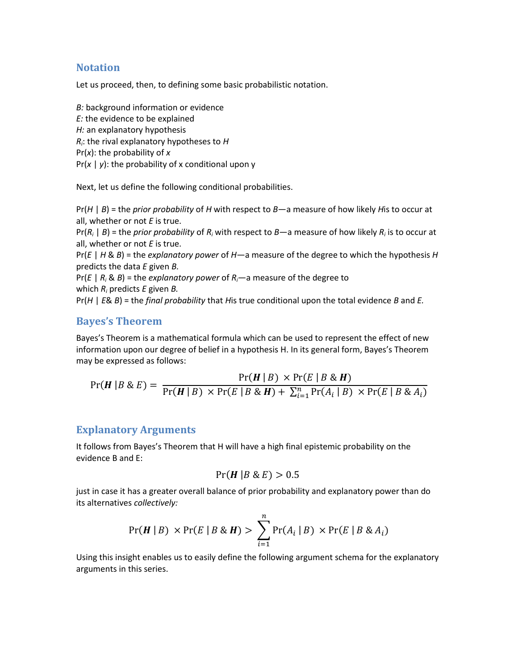#### **Notation**

Let us proceed, then, to defining some basic probabilistic notation.

*B:* background information or evidence *E:* the evidence to be explained *H:* an explanatory hypothesis *Ri* : the rival explanatory hypotheses to *H* Pr(*x*): the probability of *x* Pr(*x* | *y*): the probability of x conditional upon y

Next, let us define the following conditional probabilities.

Pr(*H* | *B*) = the *prior probability* of *H* with respect to *B*—a measure of how likely *H*is to occur at all, whether or not *E* is true.

Pr(*R<sup>i</sup>* | *B*) = the *prior probability* of *R<sup>i</sup>* with respect to *B*—a measure of how likely *R<sup>i</sup>* is to occur at all, whether or not *E* is true.

Pr(*E* | *H* & *B*) = the *explanatory power* of *H*—a measure of the degree to which the hypothesis *H* predicts the data *E* given *B.*

 $Pr(E | R_i \& B)$  = the *explanatory power* of  $R_i$ —a measure of the degree to which *R<sup>i</sup>* predicts *E* given *B.*

Pr(*H* | *E*& *B*) = the *final probability* that *H*is true conditional upon the total evidence *B* and *E.*

#### **Bayes's Theorem**

Bayes's Theorem is a mathematical formula which can be used to represent the effect of new information upon our degree of belief in a hypothesis H. In its general form, Bayes's Theorem may be expressed as follows:

$$
Pr(H | B \& E) = \frac{Pr(H | B) \times Pr(E | B \& H)}{Pr(H | B) \times Pr(E | B \& H) + \sum_{i=1}^{n} Pr(A_i | B) \times Pr(E | B \& A_i)}
$$

#### **Explanatory Arguments**

It follows from Bayes's Theorem that H will have a high final epistemic probability on the evidence B and E:

$$
Pr(H | B & E) > 0.5
$$

just in case it has a greater overall balance of prior probability and explanatory power than do its alternatives *collectively:*

$$
Pr(\boldsymbol{H} \mid B) \times Pr(E \mid B \& \boldsymbol{H}) > \sum_{i=1}^{n} Pr(A_i \mid B) \times Pr(E \mid B \& A_i)
$$

Using this insight enables us to easily define the following argument schema for the explanatory arguments in this series.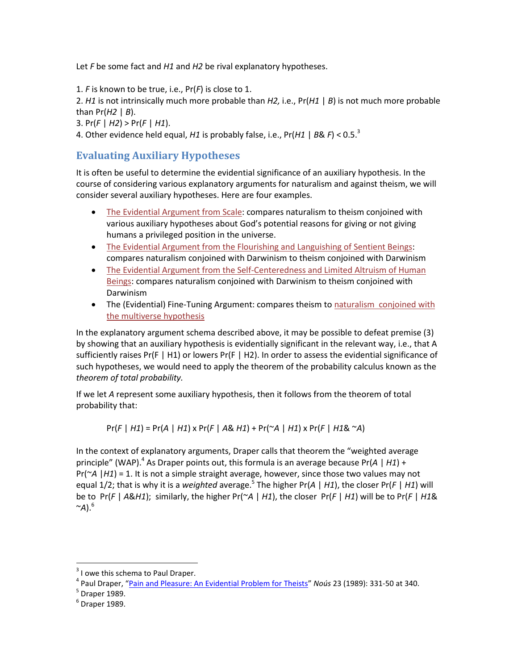Let *F* be some fact and *H1* and *H2* be rival explanatory hypotheses.

1. *F* is known to be true, i.e., Pr(*F*) is close to 1.

2. *H1* is not intrinsically much more probable than *H2,* i.e., Pr(*H1* | *B*) is not much more probable than Pr(*H2* | *B*).

3. Pr(*F* | *H2*) > Pr(*F* | *H1*).

4. Other evidence held equal, *H1* is probably false, i.e., Pr(*H1* | *B*& *F*) < 0.5.<sup>3</sup>

### **Evaluating Auxiliary Hypotheses**

It is often be useful to determine the evidential significance of an auxiliary hypothesis. In the course of considering various explanatory arguments for naturalism and against theism, we will consider several auxiliary hypotheses. Here are four examples.

- [The Evidential Argument from Scale:](http://www.patheos.com/blogs/secularoutpost/2011/11/21/the-argument-from-scale-as-revisited-part-4/) compares naturalism to theism conjoined with various auxiliary hypotheses about God's potential reasons for giving or not giving humans a privileged position in the universe.
- [The Evidential Argument from the Flourishing and Languishing of Sentient Beings:](http://www.patheos.com/blogs/secularoutpost/2012/06/the-argument-from-the-flourishing-and-languishing-of-sentient-beings-afl/) compares naturalism conjoined with Darwinism to theism conjoined with Darwinism
- [The Evidential Argument from the Self-Centeredness and Limited Altruism of Human](http://www.patheos.com/blogs/secularoutpost/2012/06/argument-from-self-centeredness-and-limited-altruism-of-human-beings/)  [Beings:](http://www.patheos.com/blogs/secularoutpost/2012/06/argument-from-self-centeredness-and-limited-altruism-of-human-beings/) compares naturalism conjoined with Darwinism to theism conjoined with Darwinism
- The (Evidential) Fine-Tuning Argument: compares theism to naturalism [conjoined with](http://www.patheos.com/blogs/secularoutpost/2012/06/14/confessions-of-a-multiverse-skeptic/)  [the multiverse hypothesis](http://www.patheos.com/blogs/secularoutpost/2012/06/14/confessions-of-a-multiverse-skeptic/)

In the explanatory argument schema described above, it may be possible to defeat premise (3) by showing that an auxiliary hypothesis is evidentially significant in the relevant way, i.e., that A sufficiently raises Pr(F | H1) or lowers Pr(F | H2). In order to assess the evidential significance of such hypotheses, we would need to apply the theorem of the probability calculus known as the *theorem of total probability.*

If we let *A* represent some auxiliary hypothesis, then it follows from the theorem of total probability that:

Pr(*F* | *H1*) = Pr(*A* | *H1*) x Pr(*F* | *A*& *H1*) + Pr(~*A* | *H1*) x Pr(*F* | *H1*& ~*A*)

In the context of explanatory arguments, Draper calls that theorem the "weighted average principle" (WAP).<sup>4</sup> As Draper points out, this formula is an average because Pr(A | H1) + Pr(~*A* |*H1*) = 1. It is not a simple straight average, however, since those two values may not equal 1/2; that is why it is a *weighted* average.<sup>5</sup> The higher Pr(*A* | *H1*), the closer Pr(*F* | *H1*) will be to Pr(*F* | *A*&*H1*); similarly, the higher Pr(~*A* | *H1*), the closer Pr(*F* | *H1*) will be to Pr(*F* | *H1*&  $\sim$ A).<sup>6</sup>

 $\overline{a}$ 

 $3$  I owe this schema to Paul Draper.

<sup>4</sup> Paul Draper, "[Pain and Pleasure: An Evidential Problem for Theists](http://commonsenseatheism.com/uploads/Draper%20-%20Pain%20and%20Pleasure%20An%20Evidential%20Problem%20for%20Theists.pdf)" *Noús* 23 (1989): 331-50 at 340.

 $<sup>5</sup>$  Draper 1989.</sup>

 $<sup>6</sup>$  Draper 1989.</sup>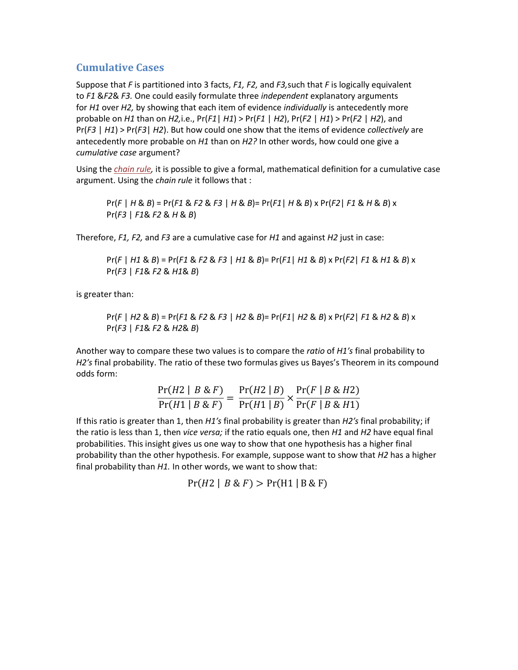#### **Cumulative Cases**

Suppose that *F* is partitioned into 3 facts, *F1, F2,* and *F3,*such that *F* is logically equivalent to *F1* &*F2*& *F3.* One could easily formulate three *independent* explanatory arguments for *H1* over *H2,* by showing that each item of evidence *individually* is antecedently more probable on *H1* than on *H2,*i.e., Pr(*F1*| *H1*) > Pr(*F1* | *H2*), Pr(*F2* | *H1*) > Pr(*F2* | *H2*), and Pr(*F3* | *H1*) > Pr(*F3*| *H2*). But how could one show that the items of evidence *collectively* are antecedently more probable on *H1* than on *H2?* In other words, how could one give a *cumulative case* argument?

Using the *[chain rule,](http://en.wikipedia.org/wiki/Chain_rule_%28probability%29)* it is possible to give a formal, mathematical definition for a cumulative case argument. Using the *chain rule* it follows that :

Pr(*F* | *H* & *B*) = Pr(*F1* & *F2* & *F3* | *H* & *B*)= Pr(*F1*| *H* & *B*) x Pr(*F2*| *F1* & *H* & *B*) x Pr(*F3* | *F1*& *F2* & *H* & *B*)

Therefore, *F1, F2,* and *F3* are a cumulative case for *H1* and against *H2* just in case:

Pr(*F* | *H1* & *B*) = Pr(*F1* & *F2* & *F3* | *H1* & *B*)= Pr(*F1*| *H1* & *B*) x Pr(*F2*| *F1* & *H1* & *B*) x Pr(*F3* | *F1*& *F2* & *H1*& *B*)

is greater than:

Pr(*F* | *H2* & *B*) = Pr(*F1* & *F2* & *F3* | *H2* & *B*)= Pr(*F1*| *H2* & *B*) x Pr(*F2*| *F1* & *H2* & *B*) x Pr(*F3* | *F1*& *F2* & *H2*& *B*)

Another way to compare these two values is to compare the *ratio* of *H1′s* final probability to *H2′s* final probability. The ratio of these two formulas gives us Bayes's Theorem in its compound odds form:

$$
\frac{\Pr(H2 \mid B \& F)}{\Pr(H1 \mid B \& F)} = \frac{\Pr(H2 \mid B)}{\Pr(H1 \mid B)} \times \frac{\Pr(F \mid B \& H2)}{\Pr(F \mid B \& H1)}
$$

If this ratio is greater than 1, then *H1′s* final probability is greater than *H2′s* final probability; if the ratio is less than 1, then *vice versa;* if the ratio equals one, then *H1* and *H2* have equal final probabilities. This insight gives us one way to show that one hypothesis has a higher final probability than the other hypothesis. For example, suppose want to show that *H2* has a higher final probability than *H1.* In other words, we want to show that:

 $Pr(H2 | B \& F) > Pr(H1 | B \& F)$